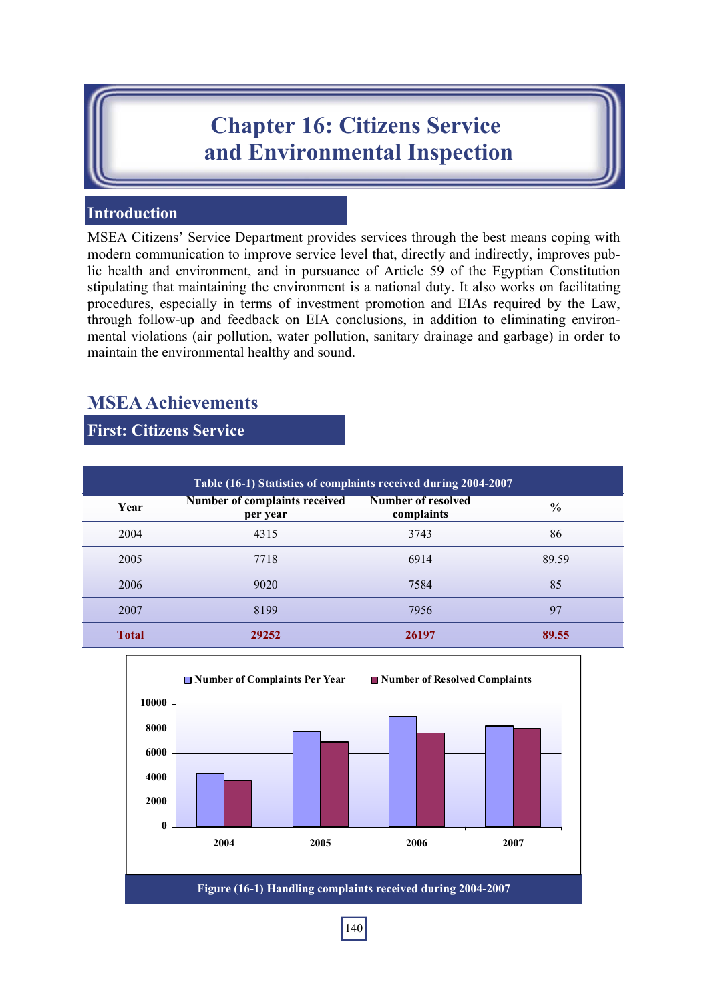# **Chapter 16: Citizens Service and Environmental Inspection**

# **Introduction**

MSEA Citizens' Service Department provides services through the best means coping with modern communication to improve service level that, directly and indirectly, improves public health and environment, and in pursuance of Article 59 of the Egyptian Constitution stipulating that maintaining the environment is a national duty. It also works on facilitating procedures, especially in terms of investment promotion and EIAs required by the Law, through follow-up and feedback on EIA conclusions, in addition to eliminating environmental violations (air pollution, water pollution, sanitary drainage and garbage) in order to maintain the environmental healthy and sound.

# **MSEA Achievements**

**First: Citizens Service** 

| Table (16-1) Statistics of complaints received during 2004-2007 |                                           |                                  |               |  |  |  |  |  |  |
|-----------------------------------------------------------------|-------------------------------------------|----------------------------------|---------------|--|--|--|--|--|--|
| Year                                                            | Number of complaints received<br>per year | Number of resolved<br>complaints | $\frac{0}{0}$ |  |  |  |  |  |  |
| 2004                                                            | 4315                                      | 3743                             | 86            |  |  |  |  |  |  |
| 2005                                                            | 7718                                      | 6914                             | 89.59         |  |  |  |  |  |  |
| 2006                                                            | 9020                                      | 7584                             | 85            |  |  |  |  |  |  |
| 2007                                                            | 8199                                      | 7956                             | 97            |  |  |  |  |  |  |
| <b>Total</b>                                                    | 29252                                     | 26197                            | 89.55         |  |  |  |  |  |  |



140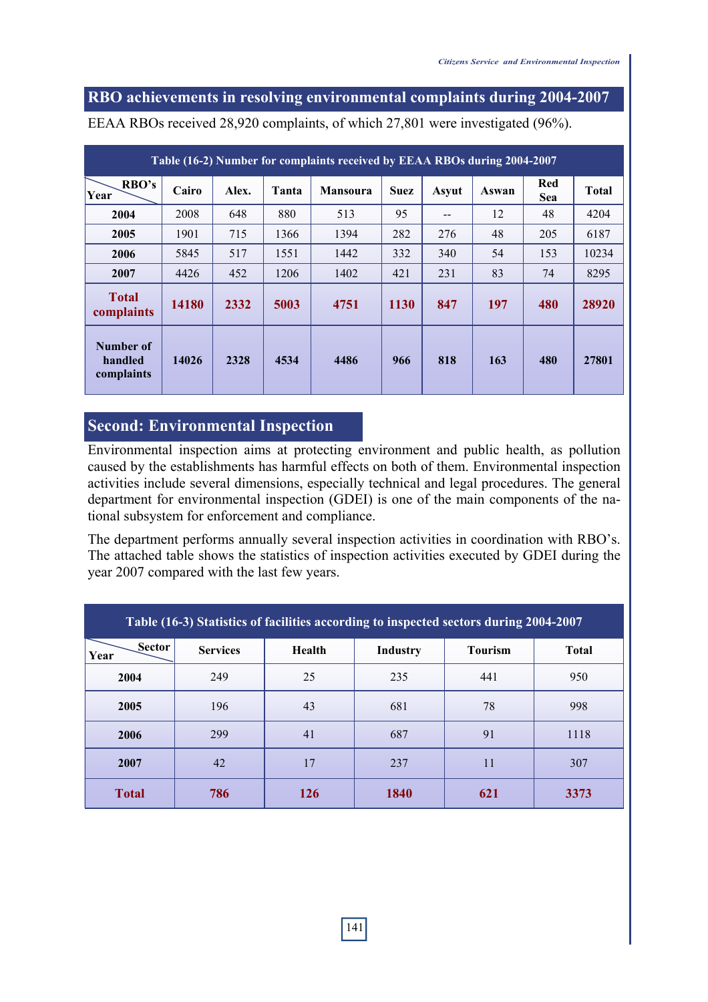#### **RBO achievements in resolving environmental complaints during 2004-2007**

| Table (16-2) Number for complaints received by EEAA RBOs during 2004-2007 |       |       |       |                 |             |       |       |                   |              |
|---------------------------------------------------------------------------|-------|-------|-------|-----------------|-------------|-------|-------|-------------------|--------------|
| RBO's<br>Year                                                             | Cairo | Alex. | Tanta | <b>Mansoura</b> | <b>Suez</b> | Asyut | Aswan | Red<br><b>Sea</b> | <b>Total</b> |
| 2004                                                                      | 2008  | 648   | 880   | 513             | 95          |       | 12    | 48                | 4204         |
| 2005                                                                      | 1901  | 715   | 1366  | 1394            | 282         | 276   | 48    | 205               | 6187         |
| 2006                                                                      | 5845  | 517   | 1551  | 1442            | 332         | 340   | 54    | 153               | 10234        |
| 2007                                                                      | 4426  | 452   | 1206  | 1402            | 421         | 231   | 83    | 74                | 8295         |
| <b>Total</b><br>complaints                                                | 14180 | 2332  | 5003  | 4751            | 1130        | 847   | 197   | 480               | 28920        |
| Number of<br>handled<br>complaints                                        | 14026 | 2328  | 4534  | 4486            | 966         | 818   | 163   | 480               | 27801        |

EEAA RBOs received 28,920 complaints, of which 27,801 were investigated (96%).

#### **Second: Environmental Inspection**

Environmental inspection aims at protecting environment and public health, as pollution caused by the establishments has harmful effects on both of them. Environmental inspection activities include several dimensions, especially technical and legal procedures. The general department for environmental inspection (GDEI) is one of the main components of the national subsystem for enforcement and compliance.

The department performs annually several inspection activities in coordination with RBO's. The attached table shows the statistics of inspection activities executed by GDEI during the year 2007 compared with the last few years.

| Table (16-3) Statistics of facilities according to inspected sectors during 2004-2007 |                 |            |                 |                |              |  |  |  |  |
|---------------------------------------------------------------------------------------|-----------------|------------|-----------------|----------------|--------------|--|--|--|--|
| Sector<br>Year                                                                        | <b>Services</b> | Health     | <b>Industry</b> | <b>Tourism</b> | <b>Total</b> |  |  |  |  |
| 2004                                                                                  | 249             | 25         | 235             | 441            | 950          |  |  |  |  |
| 2005                                                                                  | 196             | 43         | 681             | 78             | 998          |  |  |  |  |
| 2006                                                                                  | 299             | 41         | 687             | 91             | 1118         |  |  |  |  |
| 2007                                                                                  | 42              | 17         | 237             | 11             | 307          |  |  |  |  |
| <b>Total</b>                                                                          | 786             | <b>126</b> | 1840            | 621            | 3373         |  |  |  |  |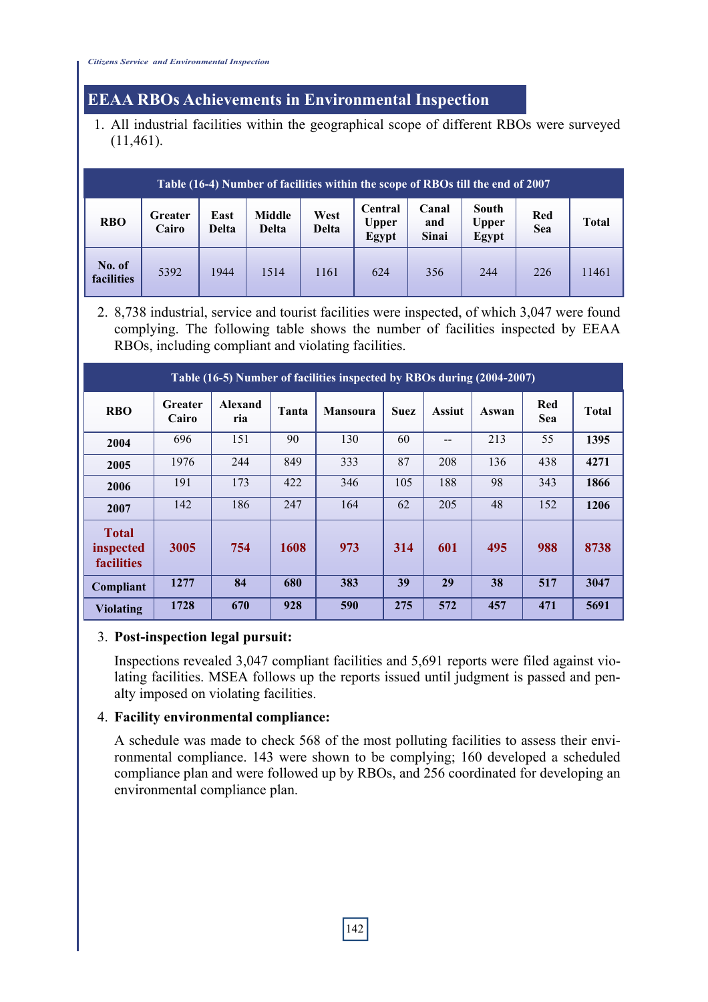# **EEAA RBOs Achievements in Environmental Inspection**

1. All industrial facilities within the geographical scope of different RBOs were surveyed (11,461).

| Table (16-4) Number of facilities within the scope of RBOs till the end of 2007 |                         |                      |                 |               |                                  |                              |                         |                   |              |  |
|---------------------------------------------------------------------------------|-------------------------|----------------------|-----------------|---------------|----------------------------------|------------------------------|-------------------------|-------------------|--------------|--|
| <b>RBO</b>                                                                      | <b>Greater</b><br>Cairo | East<br><b>Delta</b> | Middle<br>Delta | West<br>Delta | Central<br><b>Upper</b><br>Egypt | Canal<br>and<br><b>Sinai</b> | South<br>Upper<br>Egypt | Red<br><b>Sea</b> | <b>Total</b> |  |
| No. of<br>facilities                                                            | 5392                    | 1944                 | 1514            | 1161          | 624                              | 356                          | 244                     | 226               | 11461        |  |

2. 8,738 industrial, service and tourist facilities were inspected, of which 3,047 were found complying. The following table shows the number of facilities inspected by EEAA RBOs, including compliant and violating facilities.

| Table (16-5) Number of facilities inspected by RBOs during (2004-2007) |                         |                |       |                 |             |               |       |            |              |
|------------------------------------------------------------------------|-------------------------|----------------|-------|-----------------|-------------|---------------|-------|------------|--------------|
| <b>RBO</b>                                                             | <b>Greater</b><br>Cairo | Alexand<br>ria | Tanta | <b>Mansoura</b> | <b>Suez</b> | <b>Assiut</b> | Aswan | Red<br>Sea | <b>Total</b> |
| 2004                                                                   | 696                     | 151            | 90    | 130             | 60          | --            | 213   | 55         | 1395         |
| 2005                                                                   | 1976                    | 244            | 849   | 333             | 87          | 208           | 136   | 438        | 4271         |
| 2006                                                                   | 191                     | 173            | 422   | 346             | 105         | 188           | 98    | 343        | 1866         |
| 2007                                                                   | 142                     | 186            | 247   | 164             | 62          | 205           | 48    | 152        | 1206         |
| <b>Total</b><br>inspected<br>facilities                                | 3005                    | 754            | 1608  | 973             | 314         | 601           | 495   | 988        | 8738         |
| Compliant                                                              | 1277                    | 84             | 680   | 383             | 39          | 29            | 38    | 517        | 3047         |
| <b>Violating</b>                                                       | 1728                    | 670            | 928   | 590             | 275         | 572           | 457   | 471        | 5691         |

#### 3. **Post-inspection legal pursuit:**

Inspections revealed 3,047 compliant facilities and 5,691 reports were filed against violating facilities. MSEA follows up the reports issued until judgment is passed and penalty imposed on violating facilities.

#### 4. **Facility environmental compliance:**

A schedule was made to check 568 of the most polluting facilities to assess their environmental compliance. 143 were shown to be complying; 160 developed a scheduled compliance plan and were followed up by RBOs, and 256 coordinated for developing an environmental compliance plan.